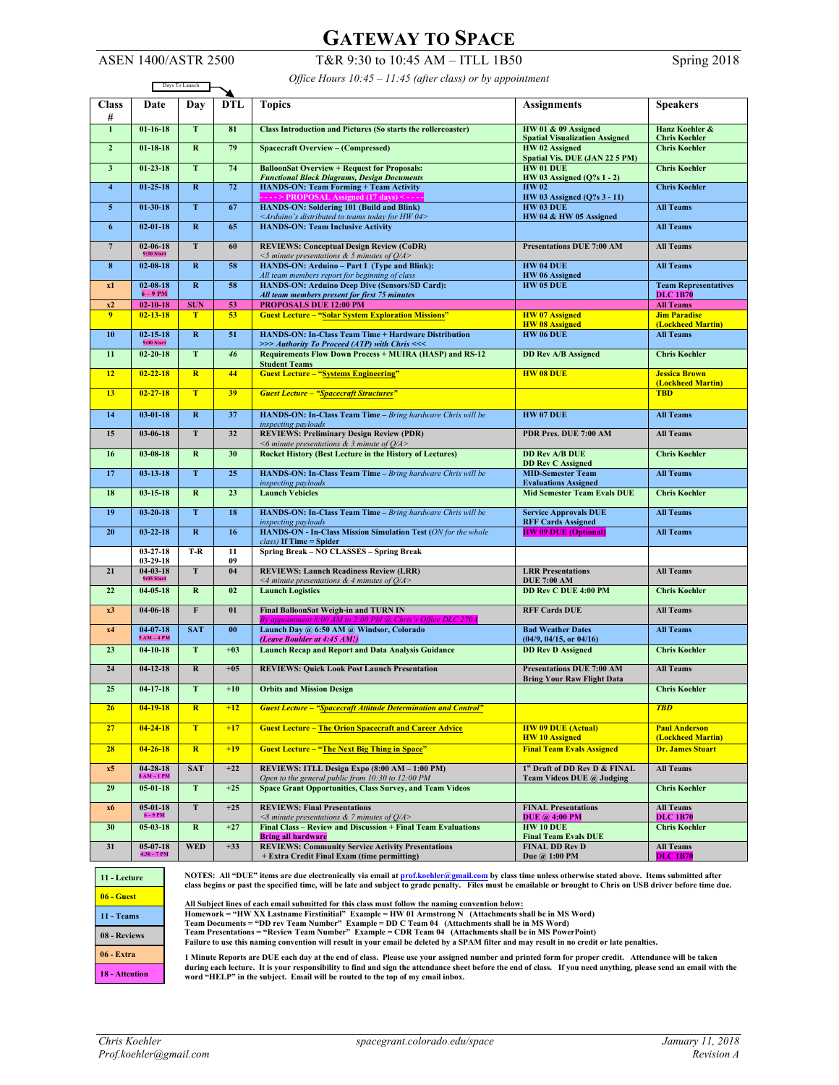## **GATEWAY TO SPACE**

ASEN 1400/ASTR 2500 T&R 9:30 to 10:45 AM – ITLL 1B50 Spring 2018

*Office Hours 10:45 – 11:45 (after class) or by appointment*

| Days To Launch          |                                        |                         |                       |                                                                                                                                         |                                                                       |                                                |  |
|-------------------------|----------------------------------------|-------------------------|-----------------------|-----------------------------------------------------------------------------------------------------------------------------------------|-----------------------------------------------------------------------|------------------------------------------------|--|
| <b>Class</b><br>#       | Date                                   | Day                     | <b>DTL</b>            | <b>Topics</b>                                                                                                                           | <b>Assignments</b>                                                    | <b>Speakers</b>                                |  |
| $\overline{1}$          | $01 - 16 - 18$                         | T                       | 81                    | <b>Class Introduction and Pictures (So starts the rollercoaster)</b>                                                                    | HW 01 & 09 Assigned<br><b>Spatial Visualization Assigned</b>          | Hanz Koehler &<br><b>Chris Koehler</b>         |  |
| $\mathbf{2}$            | $01 - 18 - 18$                         | $\bf R$                 | 79                    | <b>Spacecraft Overview - (Compressed)</b>                                                                                               | HW 02 Assigned<br>Spatial Vis. DUE (JAN 22 5 PM)                      | <b>Chris Koehler</b>                           |  |
| $\overline{\mathbf{3}}$ | $01 - 23 - 18$                         | T                       | 74                    | <b>BalloonSat Overview + Request for Proposals:</b><br><b>Functional Block Diagrams, Design Documents</b>                               | HW 01 DUE<br>HW 03 Assigned (Q?s 1 - 2)                               | <b>Chris Koehler</b>                           |  |
| $\overline{\mathbf{4}}$ | $01 - 25 - 18$                         | $\bf R$                 | 72                    | <b>HANDS-ON: Team Forming + Team Activity</b><br>> PROPOSAL Assigned (17 days)                                                          | <b>HW02</b><br>HW 03 Assigned (Q?s 3 - 11)                            | <b>Chris Koehler</b>                           |  |
| $\overline{5}$          | $01 - 30 - 18$                         | T                       | 67                    | <b>HANDS-ON: Soldering 101 (Build and Blink)</b>                                                                                        | HW 03 DUE                                                             | <b>All Teams</b>                               |  |
| $6\phantom{1}$          | $02 - 01 - 18$                         | $\mathbf R$             | 65                    | <arduino's 04="" distributed="" for="" hw="" teams="" to="" today=""><br/><b>HANDS-ON: Team Inclusive Activity</b></arduino's>          | HW 04 & HW 05 Assigned                                                | <b>All Teams</b>                               |  |
| $7\phantom{.0}$         | $02 - 06 - 18$<br>$9:20$ Start         | T                       | 60                    | <b>REVIEWS: Conceptual Design Review (CoDR)</b><br><b>Presentations DUE 7:00 AM</b><br><5 minute presentations $&$ 5 minutes of $Q/A$ > |                                                                       | <b>All Teams</b>                               |  |
| $\bf{8}$                | $02 - 08 - 18$                         | $\bf R$                 | 58                    | HANDS-ON: Arduino - Part I (Type and Blink):<br>All team members report for beginning of class                                          | <b>HW 04 DUE</b><br>HW 06 Assigned                                    | <b>All Teams</b>                               |  |
| x1                      | $02 - 08 - 18$<br>$6 - 9$ PM           | $\bf R$                 | 58                    | HANDS-ON: Arduino Deep Dive (Sensors/SD Card):<br><b>HW 05 DUE</b><br>All team members present for first 75 minutes                     |                                                                       | <b>Team Representatives</b><br><b>DLC 1B70</b> |  |
| x2                      | $02 - 10 - 18$                         | <b>SUN</b>              | 53                    | PROPOSALS DUE 12:00 PM                                                                                                                  |                                                                       | <b>All Teams</b>                               |  |
| 9                       | $02 - 13 - 18$                         | T                       | 53                    | <b>Guest Lecture - "Solar System Exploration Missions"</b>                                                                              | <b>HW</b> 07 Assigned<br><b>HW</b> 08 Assigned                        | <b>Jim Paradise</b><br>(Lockheed Martin)       |  |
| 10                      | $02 - 15 - 18$                         | $\bf R$                 | 51                    | HANDS-ON: In-Class Team Time + Hardware Distribution                                                                                    | HW 06 DUE                                                             | <b>All Teams</b>                               |  |
| 11                      | $9:00$ Start<br>$02 - 20 - 18$         | T                       | 46                    | >>> Authority To Proceed (ATP) with Chris <<<<br><b>Requirements Flow Down Process + MUIRA (HASP) and RS-12</b>                         | <b>DD Rev A/B Assigned</b>                                            | <b>Chris Koehler</b>                           |  |
|                         |                                        |                         |                       | <b>Student Teams</b>                                                                                                                    |                                                                       |                                                |  |
| 12                      | $02 - 22 - 18$                         | $\overline{\mathbf{R}}$ | 44                    | <b>Guest Lecture - "Systems Engineering"</b>                                                                                            | <b>HW 08 DUE</b>                                                      | <b>Jessica Brown</b><br>(Lockheed Martin)      |  |
| 13                      | $02 - 27 - 18$                         | T                       | 39                    | <b>Guest Lecture - "Spacecraft Structures"</b>                                                                                          |                                                                       | <b>TBD</b>                                     |  |
| 14                      | $03 - 01 - 18$                         | $\mathbf{R}$            | 37                    | HANDS-ON: In-Class Team Time - Bring hardware Chris will be<br>inspecting payloads                                                      | <b>HW 07 DUE</b>                                                      | <b>All Teams</b>                               |  |
| 15                      | $03 - 06 - 18$                         | ${\bf T}$               | 32                    | <b>REVIEWS: Preliminary Design Review (PDR)</b><br><6 minute presentations & 3 minute of $Q/A$ >                                        | PDR Pres. DUE 7:00 AM                                                 | <b>All Teams</b>                               |  |
| 16                      | $03 - 08 - 18$                         | $\mathbf{R}$            | 30                    | <b>Rocket History (Best Lecture in the History of Lectures)</b>                                                                         | <b>DD Rev A/B DUE</b><br><b>DD Rev C Assigned</b>                     | <b>Chris Koehler</b>                           |  |
| 17                      | $03 - 13 - 18$                         | $\mathbf T$             | 25                    | HANDS-ON: In-Class Team Time - Bring hardware Chris will be<br>inspecting payloads                                                      | <b>MID-Semester Team</b><br><b>Evaluations Assigned</b>               | <b>All Teams</b>                               |  |
| 18                      | $03 - 15 - 18$                         | $\mathbf R$             | 23                    | <b>Launch Vehicles</b>                                                                                                                  | <b>Mid Semester Team Evals DUE</b>                                    | <b>Chris Koehler</b>                           |  |
| 19                      | $03 - 20 - 18$                         | T                       | 18                    | HANDS-ON: In-Class Team Time - Bring hardware Chris will be<br>inspecting payloads                                                      | <b>Service Approvals DUE</b><br><b>RFF Cards Assigned</b>             | <b>All Teams</b>                               |  |
| 20                      | $03 - 22 - 18$                         | $\bf R$                 | 16                    | HANDS-ON - In-Class Mission Simulation Test (ON for the whole<br>$class$ ) If Time = Spider                                             | <b>HW 09 DUE (Optional)</b>                                           | <b>All Teams</b>                               |  |
|                         | $03 - 27 - 18$<br>$03 - 29 - 18$       | $T-R$                   | $\overline{11}$<br>09 | Spring Break - NO CLASSES - Spring Break                                                                                                |                                                                       |                                                |  |
| 21                      | $04 - 03 - 18$<br>$9:05$ Start         | T                       | 04                    | <b>REVIEWS: Launch Readiness Review (LRR)</b><br><4 minute presentations $\&$ 4 minutes of $Q/A$ >                                      | <b>LRR</b> Presentations<br><b>DUE 7:00 AM</b>                        | <b>All Teams</b>                               |  |
| 22                      | $04 - 05 - 18$                         | $\bf{R}$                | 02                    | <b>Launch Logistics</b>                                                                                                                 | <b>DD Rev C DUE 4:00 PM</b>                                           | <b>Chris Koehler</b>                           |  |
| x3                      | $04 - 06 - 18$                         | $\mathbf{F}$            | 01                    | Final BalloonSat Weigh-in and TURN IN<br>By appointment 8:00 AM to 2:00 PM @ Chris's Office DLC 270A                                    | <b>RFF Cards DUE</b>                                                  | <b>All Teams</b>                               |  |
| x4                      | $04 - 07 - 18$<br>$5AM - 4PM$          | <b>SAT</b>              | 00                    | Launch Day @ 6:50 AM @ Windsor, Colorado                                                                                                | <b>Bad Weather Dates</b><br>(04/9, 04/15, or 04/16)                   | <b>All Teams</b>                               |  |
| 23                      | $04 - 10 - 18$                         | T                       | $+03$                 | (Leave Boulder at 4:45 AM!)<br><b>Launch Recap and Report and Data Analysis Guidance</b>                                                | <b>DD Rev D Assigned</b>                                              | <b>Chris Koehler</b>                           |  |
| 24                      | $04 - 12 - 18$                         | $\mathbf R$             | $+05$                 | <b>REVIEWS: Quick Look Post Launch Presentation</b>                                                                                     | <b>Presentations DUE 7:00 AM</b><br><b>Bring Your Raw Flight Data</b> | <b>All Teams</b>                               |  |
| 25                      | $04 - 17 - 18$                         | $\mathbf T$             | $+10$                 | <b>Orbits and Mission Design</b>                                                                                                        |                                                                       | <b>Chris Koehler</b>                           |  |
| 26                      | $04 - 19 - 18$                         | $\mathbf{R}$            | $+12$                 | <b>Guest Lecture - "Spacecraft Attitude Determination and Control"</b>                                                                  |                                                                       | <b>TBD</b>                                     |  |
| 27                      | $04 - 24 - 18$                         | T                       | $+17$                 | <b>Guest Lecture – The Orion Spacecraft and Career Advice</b>                                                                           | <b>HW 09 DUE (Actual)</b><br><b>HW 10 Assigned</b>                    | <b>Paul Anderson</b><br>(Lockheed Martin)      |  |
| 28                      | $04 - 26 - 18$                         | $\overline{\mathbf{R}}$ | $+19$                 | <b>Guest Lecture - "The Next Big Thing in Space"</b><br><b>Final Team Evals Assigned</b>                                                |                                                                       | <b>Dr. James Stuart</b>                        |  |
| x5                      | $04 - 28 - 18$<br>$8$ AM $-$ 1 PM $\,$ | <b>SAT</b>              | $+22$                 | REVIEWS: ITLL Design Expo (8:00 AM - 1:00 PM)<br>Open to the general public from 10:30 to 12:00 PM                                      | 1st Draft of DD Rev D & FINAL<br>Team Videos DUE @ Judging            | <b>All Teams</b>                               |  |
| 29                      | $05 - 01 - 18$                         | $\mathbf T$             | $+25$                 | <b>Space Grant Opportunities, Class Survey, and Team Videos</b>                                                                         |                                                                       | <b>Chris Koehler</b>                           |  |
| x6                      | $05 - 01 - 18$<br>$6 - 9$ PM           | ${\bf T}$               | $+25$                 | <b>REVIEWS: Final Presentations</b><br><8 minute presentations $\&$ 7 minutes of $Q/A$ >                                                | <b>FINAL Presentations</b><br><b>DUE</b> @ 4:00 PM                    | <b>All Teams</b><br><b>DLC 1B70</b>            |  |
| 30                      | $05 - 03 - 18$                         | $\mathbf R$             | $+27$                 | Final Class - Review and Discussion + Final Team Evaluations<br><b>Bring all hardware</b>                                               | <b>HW 10 DUE</b><br><b>Final Team Evals DUE</b>                       | <b>Chris Koehler</b>                           |  |
| 31                      | $05-07-18$<br>$4:30 - 7$ PM            | <b>WED</b>              | $+33$                 | <b>REVIEWS: Community Service Activity Presentations</b><br>+ Extra Credit Final Exam (time permitting)                                 | <b>FINAL DD Rev D</b><br>Due @ 1:00 PM                                | <b>All Teams</b><br><b>DLC 1B70</b>            |  |



NOTES: All "DUE" items are due electronically via email at <u>prof.koehler@gmail.com</u> by class time unless otherwise stated above. Items submitted after<br>class begins or past the specified time, will be late and subject to gr

All Subject lines of each email submitted for this class must follow the naming convention below:<br>Homework = "HW XX Lastname Firstinitial" Example = HW 01 Armstrong N(Attachments shall be in MS Word)<br>Team Documents = "DD r **Failure to use this naming convention will result in your email be deleted by a SPAM filter and may result in no credit or late penalties.**

1 Minute Reports are DUE each day at the end of class. Please use your assigned number and printed form for proper credit. Attendance will be taken<br>during each lecture. It is your responsibility to find and sign the at